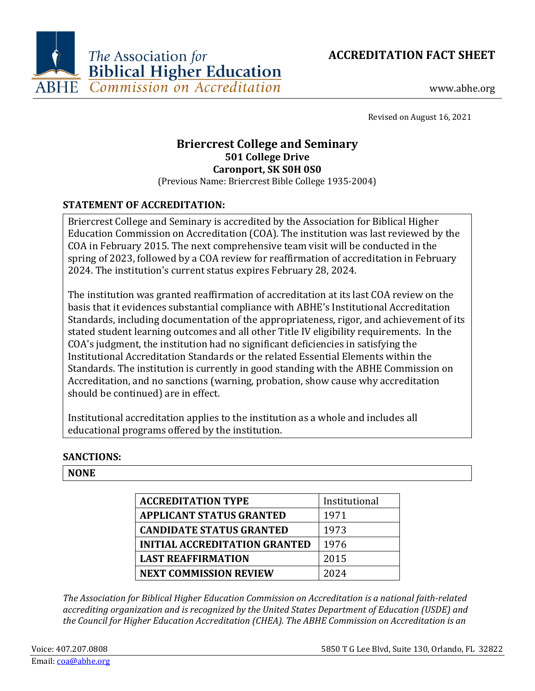

www.abhe.org

Revised on August 16, 2021

# **Briercrest College and Seminary 501 College Drive Caronport, SK S0H 0S0**

(Previous Name: Briercrest Bible College 1935-2004)

## **STATEMENT OF ACCREDITATION:**

Briercrest College and Seminary is accredited by the Association for Biblical Higher Education Commission on Accreditation (COA). The institution was last reviewed by the COA in February 2015. The next comprehensive team visit will be conducted in the spring of 2023, followed by a COA review for reaffirmation of accreditation in February 2024. The institution's current status expires February 28, 2024.

The institution was granted reaffirmation of accreditation at its last COA review on the basis that it evidences substantial compliance with ABHE's Institutional Accreditation Standards, including documentation of the appropriateness, rigor, and achievement of its stated student learning outcomes and all other Title IV eligibility requirements. In the COA's judgment, the institution had no significant deficiencies in satisfying the Institutional Accreditation Standards or the related Essential Elements within the Standards. The institution is currently in good standing with the ABHE Commission on Accreditation, and no sanctions (warning, probation, show cause why accreditation should be continued) are in effect.

Institutional accreditation applies to the institution as a whole and includes all educational programs offered by the institution.

## **SANCTIONS:**

#### **NONE**

| <b>ACCREDITATION TYPE</b>            | Institutional |
|--------------------------------------|---------------|
| <b>APPLICANT STATUS GRANTED</b>      | 1971          |
| <b>CANDIDATE STATUS GRANTED</b>      | 1973          |
| <b>INITIAL ACCREDITATION GRANTED</b> | 1976          |
| <b>LAST REAFFIRMATION</b>            | 2015          |
| <b>NEXT COMMISSION REVIEW</b>        | 2024          |

*The Association for Biblical Higher Education Commission on Accreditation is a national faith-related accrediting organization and is recognized by the United States Department of Education (USDE) and the Council for Higher Education Accreditation (CHEA). The ABHE Commission on Accreditation is an*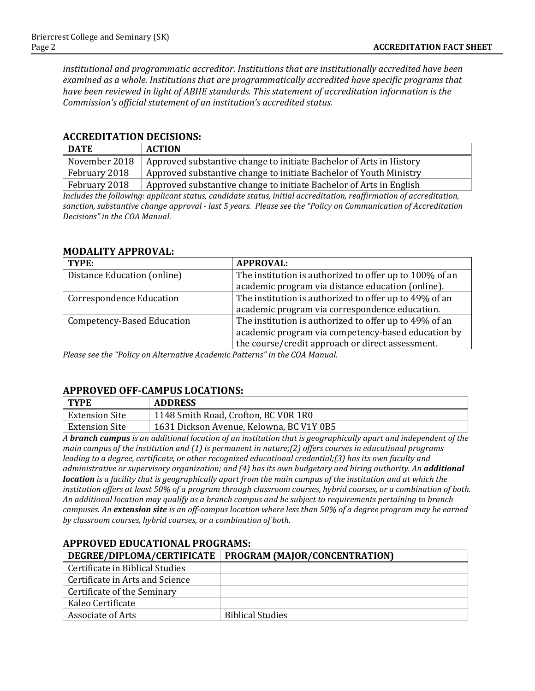*institutional and programmatic accreditor. Institutions that are institutionally accredited have been examined as a whole. Institutions that are programmatically accredited have specific programs that have been reviewed in light of ABHE standards. This statement of accreditation information is the Commission's official statement of an institution's accredited status.*

#### **ACCREDITATION DECISIONS:**

| <b>DATE</b>                                                                                                        | <b>ACTION</b>                                                       |  |
|--------------------------------------------------------------------------------------------------------------------|---------------------------------------------------------------------|--|
| November 2018                                                                                                      | Approved substantive change to initiate Bachelor of Arts in History |  |
| February 2018                                                                                                      | Approved substantive change to initiate Bachelor of Youth Ministry  |  |
| Approved substantive change to initiate Bachelor of Arts in English<br>February 2018                               |                                                                     |  |
| $\mathbf{u}$ and $\mathbf{v}$ and $\mathbf{u}$ and $\mathbf{u}$ and $\mathbf{v}$ and $\mathbf{v}$ and $\mathbf{v}$ |                                                                     |  |

*Includes the following: applicant status, candidate status, initial accreditation, reaffirmation of accreditation, sanction, substantive change approval - last 5 years. Please see the "Policy on Communication of Accreditation Decisions" in the COA Manual.*

#### **MODALITY APPROVAL:**

| TYPE:                             | <b>APPROVAL:</b>                                        |
|-----------------------------------|---------------------------------------------------------|
| Distance Education (online)       | The institution is authorized to offer up to 100% of an |
|                                   | academic program via distance education (online).       |
| <b>Correspondence Education</b>   | The institution is authorized to offer up to 49% of an  |
|                                   | academic program via correspondence education.          |
| <b>Competency-Based Education</b> | The institution is authorized to offer up to 49% of an  |
|                                   | academic program via competency-based education by      |
|                                   | the course/credit approach or direct assessment.        |

*Please see the "Policy on Alternative Academic Patterns" in the COA Manual.*

## **APPROVED OFF-CAMPUS LOCATIONS:**

| $\vert$ TYPE          | <b>ADDRESS</b>                           |
|-----------------------|------------------------------------------|
| <b>Extension Site</b> | 1148 Smith Road, Crofton, BC VOR 1RO     |
| Extension Site        | 1631 Dickson Avenue, Kelowna, BC V1Y 0B5 |

*A branch campus is an additional location of an institution that is geographically apart and independent of the main campus of the institution and (1) is permanent in nature;(2) offers courses in educational programs leading to a degree, certificate, or other recognized educational credential;(3) has its own faculty and administrative or supervisory organization; and (4) has its own budgetary and hiring authority. An additional location is a facility that is geographically apart from the main campus of the institution and at which the institution offers at least 50% of a program through classroom courses, hybrid courses, or a combination of both. An additional location may qualify as a branch campus and be subject to requirements pertaining to branch campuses. An extension site is an off-campus location where less than 50% of a degree program may be earned by classroom courses, hybrid courses, or a combination of both.*

## **APPROVED EDUCATIONAL PROGRAMS:**

|                                 | DEGREE/DIPLOMA/CERTIFICATE   PROGRAM (MAJOR/CONCENTRATION) |
|---------------------------------|------------------------------------------------------------|
| Certificate in Biblical Studies |                                                            |
| Certificate in Arts and Science |                                                            |
| Certificate of the Seminary     |                                                            |
| Kaleo Certificate               |                                                            |
| Associate of Arts               | <b>Biblical Studies</b>                                    |